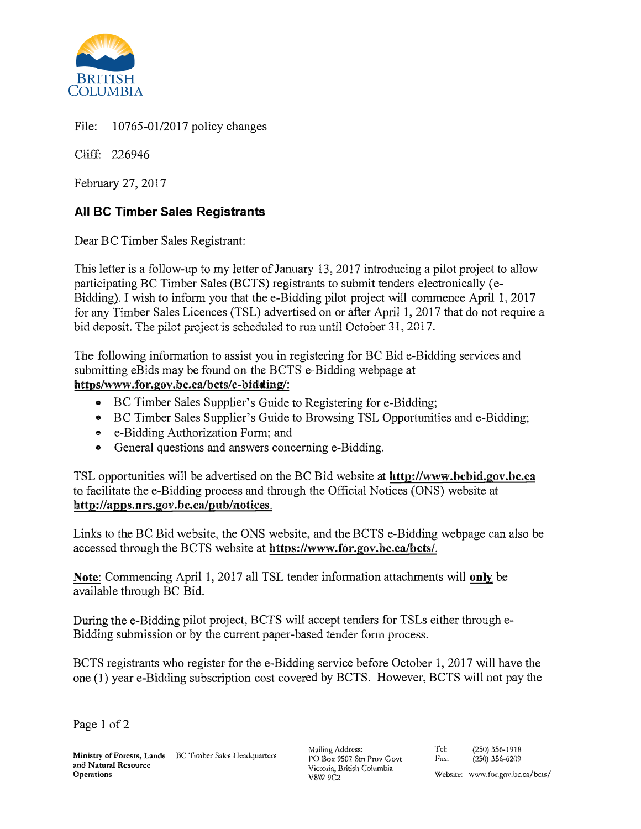

File: 10765-01/2017 policy changes

Cliff: 226946

February 27, 2017

## **All BC Timber Sales Registrants**

Dear BC Timber Sales Registrant:

This letter is a follow-up to my letter of January 13, 2017 introducing a pilot project to allow participating BC Timber Sales (BCTS) registrants to submit tenders electronically (e-Bidding). I wish to inform you that the e-Bidding pilot project will commence April 1, 2017 for any Timber Sales Licences (TSL) advertised on or after April 1, 2017 that do not require a bid deposit. The pilot project is scheduled to run until October 31, 2017.

The following information to assist you in registering for BC Bide-Bidding services and submitting eBids may be found on the BCTS e-Bidding webpage at **https/www.for.gov.bc.ca/bcts/e-bidding/:**

- BC Timber Sales Supplier's Guide to Registering for e-Bidding;
- BC Timber Sales Supplier's Guide to Browsing TSL Opportunities and e-Bidding;
- e-Bidding Authorization Form; and
- General questions and answers concerning e-Bidding.

TSL opportunities will be advertised on the BC Bid website at **http://www.bcbid.gov.bc.ca**  to facilitate the e-Bidding process and through the Official Notices (ONS) website at **http://apps.nrs.gov.bc.ca/pub/notices.** 

Links to the BC Bid website, the ONS website, and the BCTS e-Bidding webpage can also be accessed through the BCTS website at httns://www.for.gov.bc.ca/bcts/.

**Note:** Commencing April 1, 2017 all TSL tender information attachments will **only** be available through BC Bid.

During the e-Bidding pilot project, BCTS will accept tenders for TS Ls either through e-Bidding submission or by the current paper-based tender form process. -

BCTS registrants who register for the e-Bidding service before October 1, 2017 will have the one (I) year e-Bidding subscription cost covered by BCTS. However, BCTS will not pay the

Page 1 of 2

Mailing Address: PO Box 9507 Stn Prov Govt Victoria, British Columbia V8W9C2

<sup>'</sup>rel: (250) 356-1918<br> **Fax:** (250) 356-6209  $(250)$  356-6209 **Website: www.for.gov.bc.ca/bcts/**